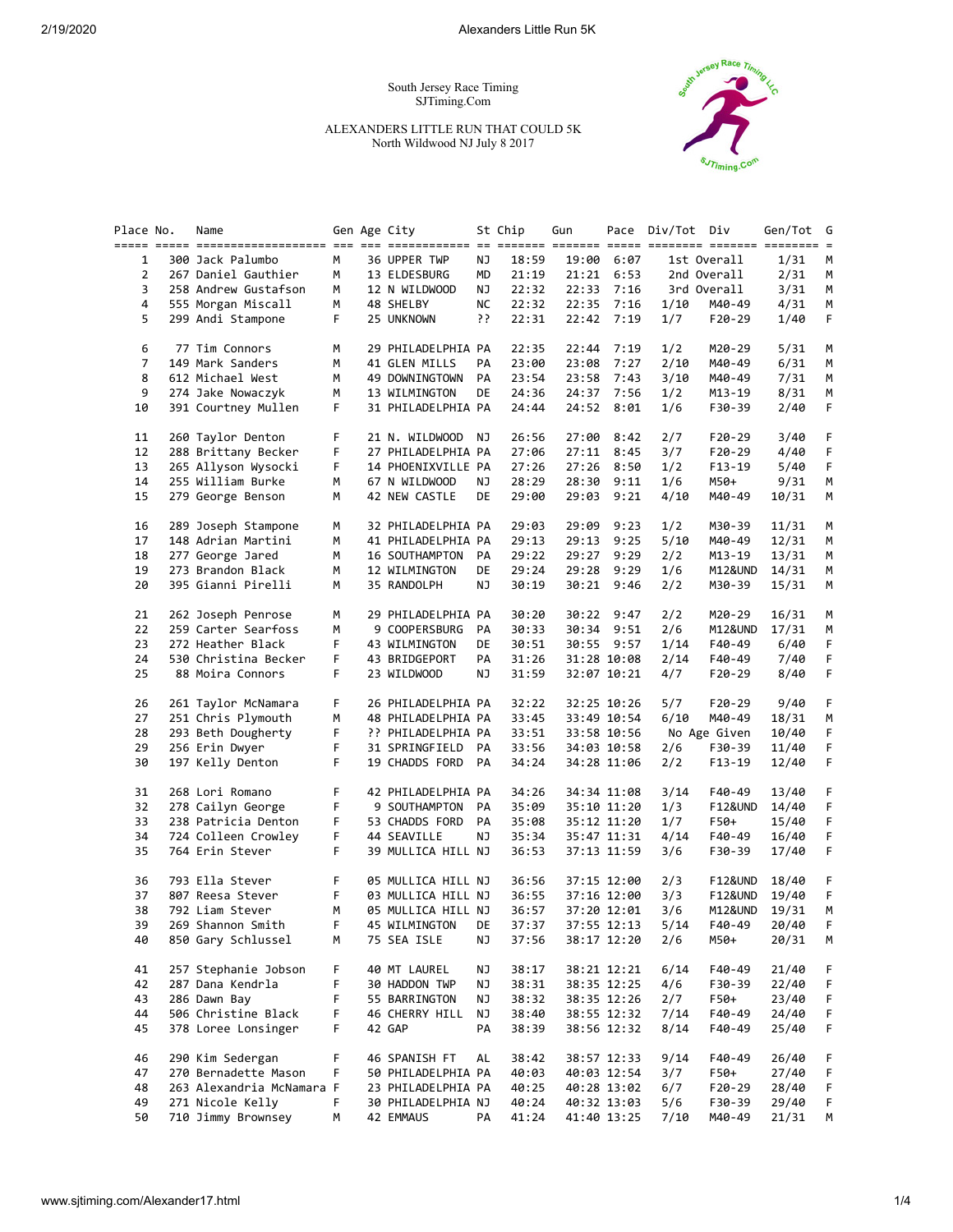South Jersey Race Timing SJTiming.Com

ALEXANDERS LITTLE RUN THAT COULD 5K North Wildwood NJ July 8 2017



| Place No.      | Name                      |    | Gen Age City       |    | St Chip | Gun   |             | Pace Div/Tot Div |                    | Gen/Tot G |    |
|----------------|---------------------------|----|--------------------|----|---------|-------|-------------|------------------|--------------------|-----------|----|
| 1              | 300 Jack Palumbo          | М  | 36 UPPER TWP       | ΝJ | 18:59   | 19:00 | 6:07        |                  | 1st Overall        | 1/31      | M  |
| $\overline{2}$ | 267 Daniel Gauthier       | М  | 13 ELDESBURG       | MD | 21:19   | 21:21 | 6:53        |                  | 2nd Overall        | 2/31      | М  |
| 3              | 258 Andrew Gustafson      | М  | 12 N WILDWOOD      | ΝJ | 22:32   | 22:33 | 7:16        |                  | 3rd Overall        | 3/31      | М  |
| 4              | 555 Morgan Miscall        | М  | 48 SHELBY          | NС | 22:32   | 22:35 | 7:16        | 1/10             | M40-49             | 4/31      | M  |
| 5              | 299 Andi Stampone         | F. | 25 UNKNOWN         | יִ | 22:31   | 22:42 | 7:19        | 1/7              | F20-29             | 1/40      | F  |
| 6              | 77 Tim Connors            | М  | 29 PHILADELPHIA PA |    | 22:35   | 22:44 | 7:19        | 1/2              | M20-29             | 5/31      | М  |
| 7              | 149 Mark Sanders          | М  | 41 GLEN MILLS      | PA | 23:00   | 23:08 | 7:27        | 2/10             | M40-49             | 6/31      | М  |
| 8              | 612 Michael West          | м  | 49 DOWNINGTOWN     | PA | 23:54   | 23:58 | 7:43        | 3/10             | M40-49             | 7/31      | М  |
| 9              | 274 Jake Nowaczyk         | М  | 13 WILMINGTON      | DE | 24:36   | 24:37 | 7:56        | 1/2              | M13-19             | 8/31      | M  |
| 10             | 391 Courtney Mullen       | F. | 31 PHILADELPHIA PA |    | 24:44   | 24:52 | 8:01        | 1/6              | F30-39             | 2/40      | F  |
| 11             | 260 Taylor Denton         | F  | 21 N. WILDWOOD NJ  |    | 26:56   | 27:00 | 8:42        | 2/7              | $F20-29$           | 3/40      | F  |
| 12             | 288 Brittany Becker       | F  | 27 PHILADELPHIA PA |    | 27:06   | 27:11 | 8:45        | 3/7              | F20-29             | 4/40      | F  |
| 13             | 265 Allyson Wysocki       | F  | 14 PHOENIXVILLE PA |    | 27:26   | 27:26 | 8:50        | 1/2              | F13-19             | 5/40      | F. |
| 14             | 255 William Burke         | м  | 67 N WILDWOOD      | ΝJ | 28:29   | 28:30 | 9:11        | 1/6              | M50+               | 9/31      | M  |
| 15             | 279 George Benson         | М  | 42 NEW CASTLE      | DE | 29:00   | 29:03 | 9:21        | 4/10             | M40-49             | 10/31     | M  |
| 16             | 289 Joseph Stampone       | М  | 32 PHILADELPHIA PA |    | 29:03   | 29:09 | 9:23        | 1/2              | M30-39             | 11/31     | M  |
| 17             | 148 Adrian Martini        | М  | 41 PHILADELPHIA PA |    | 29:13   | 29:13 | 9:25        | 5/10             | M40-49             | 12/31     | M  |
| 18             | 277 George Jared          | м  | 16 SOUTHAMPTON     | PA | 29:22   | 29:27 | 9:29        | 2/2              | M13-19             | 13/31     | М  |
| 19             | 273 Brandon Black         | м  | 12 WILMINGTON      | DE | 29:24   | 29:28 | 9:29        | 1/6              | M12&UND            | 14/31     | М  |
| 20             | 395 Gianni Pirelli        | м  | 35 RANDOLPH        | ΝJ | 30:19   |       | 30:21 9:46  | 2/2              | M30-39             | 15/31     | М  |
| 21             | 262 Joseph Penrose        | М  | 29 PHILADELPHIA PA |    | 30:20   | 30:22 | 9:47        | 2/2              | M20-29             | 16/31     | М  |
| 22             | 259 Carter Searfoss       | М  | 9 COOPERSBURG      | PA | 30:33   | 30:34 | 9:51        | 2/6              | M12&UND            | 17/31     | М  |
| 23             | 272 Heather Black         | F  | 43 WILMINGTON      | DE | 30:51   |       | 30:55 9:57  | 1/14             | F40-49             | 6/40      | F. |
| 24             | 530 Christina Becker      | F  | 43 BRIDGEPORT      | PA | 31:26   |       | 31:28 10:08 | 2/14             | F40-49             | 7/40      | F  |
| 25             | 88 Moira Connors          | F  | 23 WILDWOOD        | ΝJ | 31:59   |       | 32:07 10:21 | 4/7              | F20-29             | 8/40      | F  |
| 26             | 261 Taylor McNamara       | F  | 26 PHILADELPHIA PA |    | 32:22   |       | 32:25 10:26 | 5/7              | $F20-29$           | 9/40      | F  |
| 27             | 251 Chris Plymouth        | М  | 48 PHILADELPHIA PA |    | 33:45   |       | 33:49 10:54 | 6/10             | M40-49             | 18/31     | М  |
| 28             | 293 Beth Dougherty        | F  | ?? PHILADELPHIA PA |    | 33:51   |       | 33:58 10:56 |                  | No Age Given       | 10/40     | F  |
| 29             | 256 Erin Dwyer            | F  | 31 SPRINGFIELD PA  |    | 33:56   |       | 34:03 10:58 | 2/6              | F30-39             | 11/40     | F  |
| 30             | 197 Kelly Denton          | F  | 19 CHADDS FORD PA  |    | 34:24   |       | 34:28 11:06 | 2/2              | $F13-19$           | 12/40     | F  |
| 31             | 268 Lori Romano           | F  | 42 PHILADELPHIA PA |    | 34:26   |       | 34:34 11:08 | 3/14             | F40-49             | 13/40     | F  |
| 32             | 278 Cailyn George         | F  | 9 SOUTHAMPTON      | PA | 35:09   |       | 35:10 11:20 | 1/3              | <b>F12&amp;UND</b> | 14/40     | F  |
| 33             | 238 Patricia Denton       | F  | 53 CHADDS FORD     | PA | 35:08   |       | 35:12 11:20 | 1/7              | F50+               | 15/40     | F  |
| 34             | 724 Colleen Crowley       | F  | 44 SEAVILLE        | ΝJ | 35:34   |       | 35:47 11:31 | 4/14             | F40-49             | 16/40     | F  |
| 35             | 764 Erin Stever           | F  | 39 MULLICA HILL NJ |    | 36:53   |       | 37:13 11:59 | 3/6              | F30-39             | 17/40     | F  |
| 36             | 793 Ella Stever           | F  | 05 MULLICA HILL NJ |    | 36:56   |       | 37:15 12:00 | 2/3              | F12&UND            | 18/40     | F  |
| 37             | 807 Reesa Stever          | F  | 03 MULLICA HILL NJ |    | 36:55   |       | 37:16 12:00 | 3/3              | F12&UND            | 19/40     | F  |
| 38             | 792 Liam Stever           | м  | 05 MULLICA HILL NJ |    | 36:57   |       | 37:20 12:01 | 3/6              | M12&UND            | 19/31     | М  |
| 39             | 269 Shannon Smith         | F  | 45 WILMINGTON      | DE | 37:37   |       | 37:55 12:13 | 5/14             | F40-49             | 20/40     | F  |
| 40             | 850 Gary Schlussel        | м  | 75 SEA ISLE        | ΝJ | 37:56   |       | 38:17 12:20 | 2/6              | M50+               | 20/31     | М  |
| 41             | 257 Stephanie Jobson      | F  | 40 MT LAUREL       | ΝJ | 38:17   |       | 38:21 12:21 | 6/14             | F40-49             | 21/40     | F  |
| 42             | 287 Dana Kendrla          | F  | 30 HADDON TWP      | ΝJ | 38:31   |       | 38:35 12:25 | 4/6              | F30-39             | 22/40     | F  |
| 43             | 286 Dawn Bay              | F  | 55 BARRINGTON      | ΝJ | 38:32   |       | 38:35 12:26 | 2/7              | F50+               | 23/40     | F  |
| 44             | 506 Christine Black       | F  | 46 CHERRY HILL     | ΝJ | 38:40   |       | 38:55 12:32 | 7/14             | F40-49             | 24/40     | F  |
| 45             | 378 Loree Lonsinger       | F  | 42 GAP             | PA | 38:39   |       | 38:56 12:32 | 8/14             | F40-49             | 25/40     | F  |
| 46             | 290 Kim Sedergan          | F  | 46 SPANISH FT      | AL | 38:42   |       | 38:57 12:33 | 9/14             | F40-49             | 26/40     | F  |
| 47             | 270 Bernadette Mason      | F  | 50 PHILADELPHIA PA |    | 40:03   |       | 40:03 12:54 | 3/7              | F50+               | 27/40     | F  |
| 48             | 263 Alexandria McNamara F |    | 23 PHILADELPHIA PA |    | 40:25   |       | 40:28 13:02 | 6/7              | F20-29             | 28/40     | F  |
| 49             | 271 Nicole Kelly          | F. | 30 PHILADELPHIA NJ |    | 40:24   |       | 40:32 13:03 | 5/6              | F30-39             | 29/40     | F  |
| 50             | 710 Jimmy Brownsey        | М  | 42 EMMAUS          | PA | 41:24   |       | 41:40 13:25 | 7/10             | M40-49             | 21/31     | M  |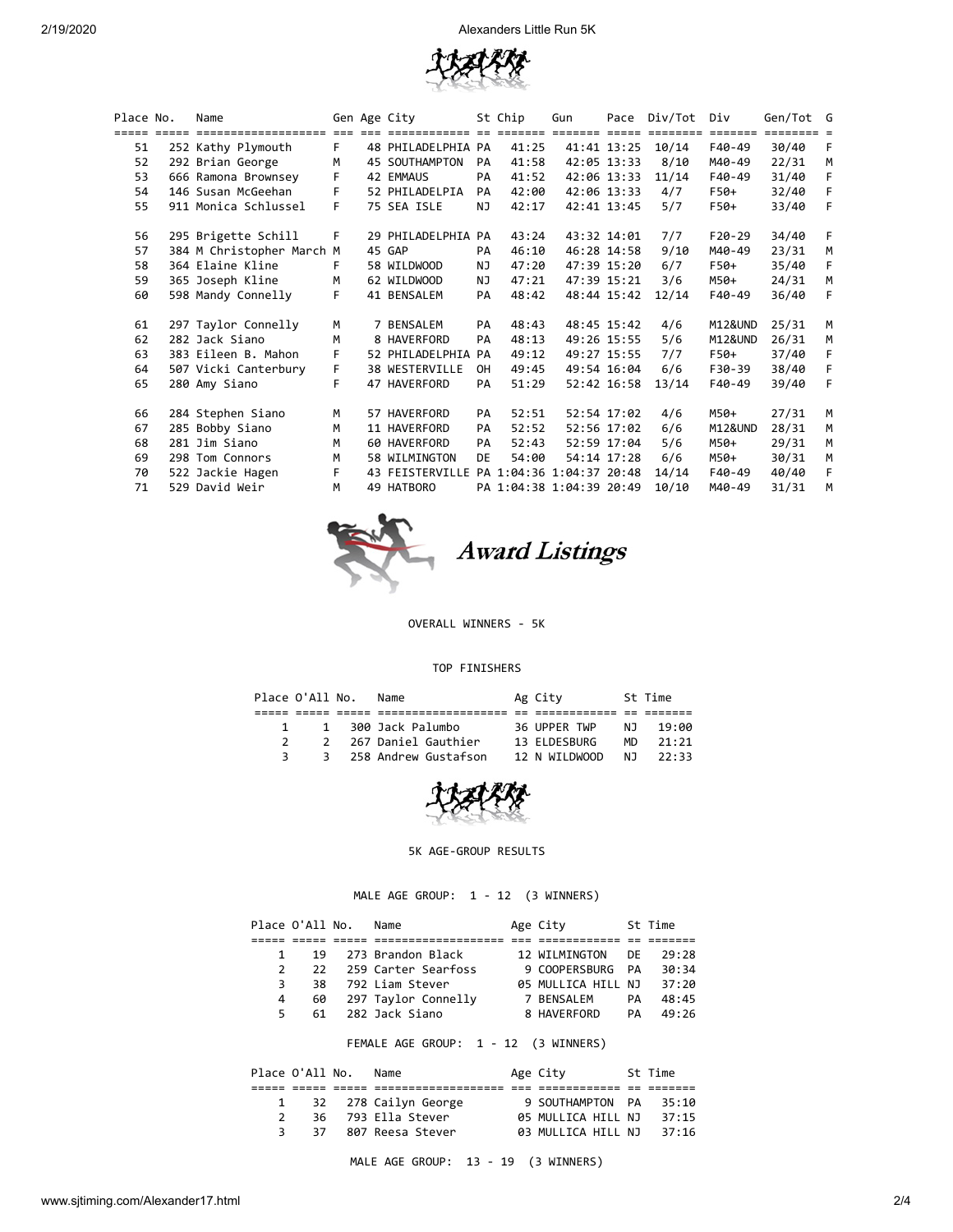

| Place No. | Name                      |    | Gen Age City                             |     | St Chip                  | Gun         |             | Pace Div/Tot | Div      | Gen/Tot G |    |
|-----------|---------------------------|----|------------------------------------------|-----|--------------------------|-------------|-------------|--------------|----------|-----------|----|
|           |                           |    |                                          |     |                          |             |             |              |          |           |    |
| 51        | 252 Kathy Plymouth        | F. | 48 PHILADELPHIA PA                       |     | 41:25                    |             | 41:41 13:25 | 10/14        | F40-49   | 30/40     | F  |
| 52        | 292 Brian George          | M  | 45 SOUTHAMPTON                           | PA  | 41:58                    |             | 42:05 13:33 | 8/10         | M40-49   | 22/31     | M  |
| 53        | 666 Ramona Brownsey       | F  | 42 EMMAUS                                | PA  | 41:52                    |             | 42:06 13:33 | 11/14        | F40-49   | 31/40     | F  |
| 54        | 146 Susan McGeehan        | F. | 52 PHILADELPIA                           | PA  | 42:00                    |             | 42:06 13:33 | 4/7          | F50+     | 32/40     | F. |
| 55        | 911 Monica Schlussel      | F. | 75 SEA ISLE                              | ΝJ  | 42:17                    |             | 42:41 13:45 | 5/7          | F50+     | 33/40     | F  |
| 56        | 295 Brigette Schill       | F  | 29 PHILADELPHIA PA                       |     | 43:24                    | 43:32 14:01 |             | 7/7          | $F20-29$ | 34/40     | F  |
| 57        | 384 M Christopher March M |    | 45 GAP                                   | PA  | 46:10                    |             | 46:28 14:58 | 9/10         | M40-49   | 23/31     | M  |
| 58        | 364 Elaine Kline          | F. | 58 WILDWOOD                              | NJ  | 47:20                    |             | 47:39 15:20 | 6/7          | F50+     | 35/40     | F  |
| 59        | 365 Joseph Kline          | M  | 62 WILDWOOD                              | NJ. | 47:21                    | 47:39 15:21 |             | 3/6          | M50+     | 24/31     | M  |
| 60        | 598 Mandy Connelly        | F  | 41 BENSALEM                              | PA  | 48:42                    |             | 48:44 15:42 | 12/14        | F40-49   | 36/40     | F  |
| 61        | 297 Taylor Connelly       | M  | 7 BENSALEM                               | PA  | 48:43                    |             | 48:45 15:42 | 4/6          | M12&UND  | 25/31     | M  |
| 62        | 282 Jack Siano            | м  | 8 HAVERFORD                              | PA  | 48:13                    |             | 49:26 15:55 | 5/6          | M12&UND  | 26/31     | М  |
| 63        | 383 Eileen B. Mahon       | F  | 52 PHILADELPHIA PA                       |     | 49:12                    |             | 49:27 15:55 | 7/7          | F50+     | 37/40     | F  |
| 64        | 507 Vicki Canterbury      | F. | 38 WESTERVILLE                           | 0H  | 49:45                    |             | 49:54 16:04 | 6/6          | F30-39   | 38/40     | F. |
| 65        | 280 Amy Siano             | F  | 47 HAVERFORD                             | PA  | 51:29                    |             | 52:42 16:58 | 13/14        | F40-49   | 39/40     | F  |
| 66        | 284 Stephen Siano         | М  | 57 HAVERFORD                             | PA  | 52:51                    |             | 52:54 17:02 | 4/6          | M50+     | 27/31     | M  |
| 67        | 285 Bobby Siano           | M  | 11 HAVERFORD                             | PA  | 52:52                    |             | 52:56 17:02 | 6/6          | M12&UND  | 28/31     | M  |
| 68        | 281 Jim Siano             | M  | 60 HAVERFORD                             | PA  | 52:43                    |             | 52:59 17:04 | 5/6          | M50+     | 29/31     | M  |
| 69        | 298 Tom Connors           | M  | 58 WILMINGTON                            | DE  | 54:00                    | 54:14 17:28 |             | 6/6          | M50+     | 30/31     | M  |
| 70        | 522 Jackie Hagen          | F  | 43 FEISTERVILLE PA 1:04:36 1:04:37 20:48 |     |                          |             |             | 14/14        | F40-49   | 40/40     | F. |
| 71        | 529 David Weir            | M  | 49 HATBORO                               |     | PA 1:04:38 1:04:39 20:49 |             |             | 10/10        | M40-49   | 31/31     | M  |



OVERALL WINNERS - 5K

## TOP FINISHERS

| Place O'All No. | Name                   | Ag City       |     | St Time |
|-----------------|------------------------|---------------|-----|---------|
|                 |                        |               |     |         |
| $\mathbf{1}$    | 1 300 Jack Palumbo     | 36 UPPER TWP  | N J | 19:00   |
|                 | 2 267 Daniel Gauthier  | 13 ELDESBURG  | MD. | 21:21   |
|                 | 3 258 Andrew Gustafson | 12 N WILDWOOD | N T | 22:33   |



## 5K AGE-GROUP RESULTS

MALE AGE GROUP: 1 - 12 (3 WINNERS)

|                                      | Place O'All No. |  | Name                |  | Age City           |     | St Time |  |  |
|--------------------------------------|-----------------|--|---------------------|--|--------------------|-----|---------|--|--|
|                                      |                 |  |                     |  |                    |     |         |  |  |
| 1                                    | 19              |  | 273 Brandon Black   |  | 12 WILMINGTON      | DF. | 29:28   |  |  |
| 2                                    | 22              |  | 259 Carter Searfoss |  | 9 COOPERSBURG      | PA  | 30:34   |  |  |
| 3                                    | 38              |  | 792 Liam Stever     |  | 05 MULLICA HILL NJ |     | 37:20   |  |  |
| 4                                    | 60              |  | 297 Taylor Connelly |  | 7 BENSALEM         | PA  | 48:45   |  |  |
| 5                                    | 61              |  | 282 Jack Siano      |  | 8 HAVERFORD        | PA  | 49:26   |  |  |
| FEMALE AGE GROUP: 1 - 12 (3 WINNERS) |                 |  |                     |  |                    |     |         |  |  |
|                                      | Place O'All No. |  | Name                |  | Age City           |     | St Time |  |  |
|                                      |                 |  |                     |  |                    |     |         |  |  |
| 1                                    | 32              |  | 278 Cailyn George   |  | 9 SOUTHAMPTON PA   |     | 35:10   |  |  |
|                                      |                 |  |                     |  |                    |     |         |  |  |

 2 36 793 Ella Stever 05 MULLICA HILL NJ 37:15 3 37 807 Reesa Stever 03 MULLICA HILL NJ 37:16

MALE AGE GROUP: 13 - 19 (3 WINNERS)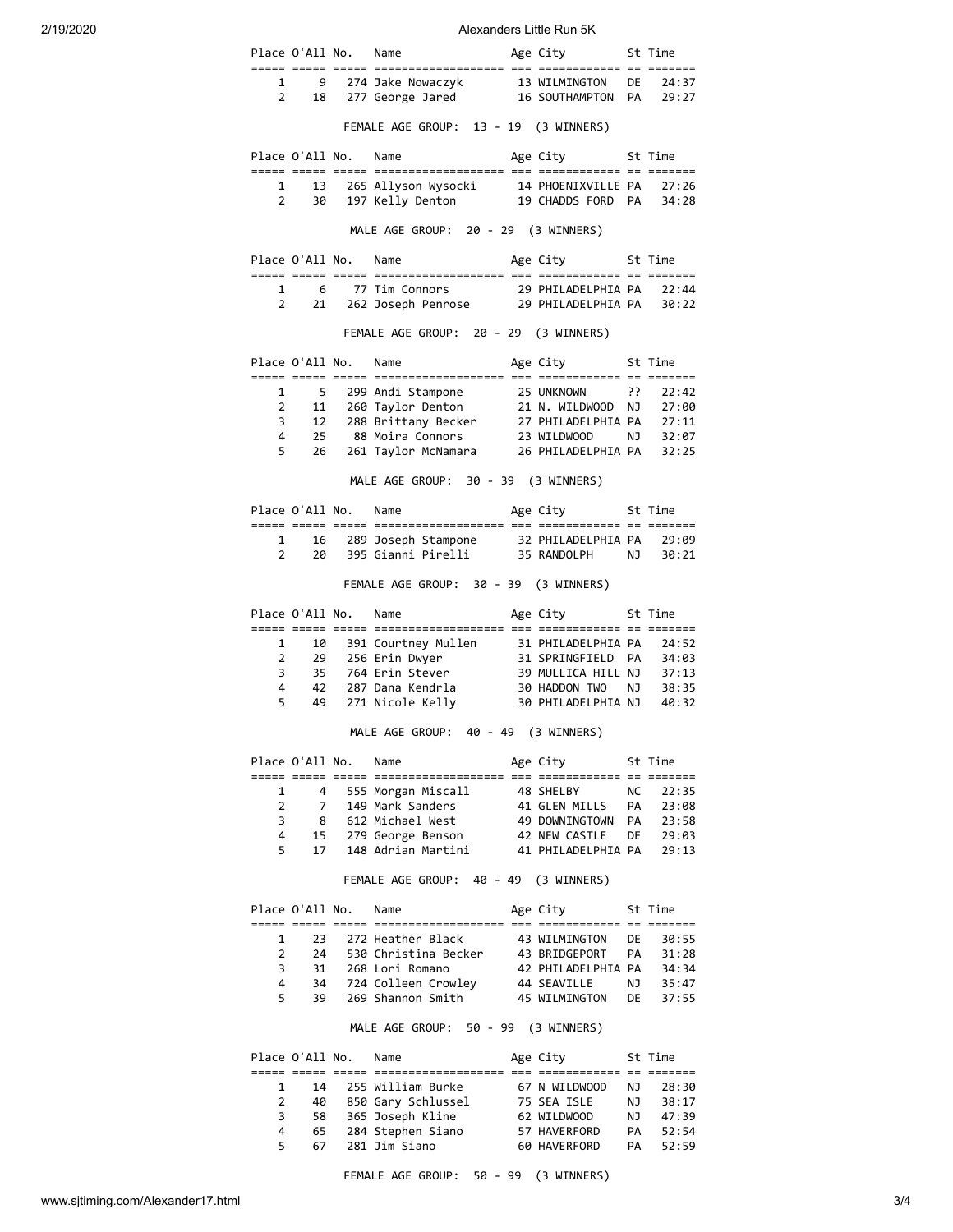2/19/2020 **Alexanders Little Run 5K** 

|                     |                              | Place O'All No.      | Name                                                                                                                                                                                                                                      | Age City 5t Time                                         |           |                                           |
|---------------------|------------------------------|----------------------|-------------------------------------------------------------------------------------------------------------------------------------------------------------------------------------------------------------------------------------------|----------------------------------------------------------|-----------|-------------------------------------------|
|                     |                              |                      |                                                                                                                                                                                                                                           |                                                          |           |                                           |
|                     |                              |                      | 9 274 Jake Nowaczyk 13 WILMINGTON DE 24:37<br>2 18 277 George Jared 16 SOUTHAMPTON PA 29:27                                                                                                                                               |                                                          |           |                                           |
|                     |                              |                      | FEMALE AGE GROUP: 13 - 19 (3 WINNERS)                                                                                                                                                                                                     |                                                          |           |                                           |
|                     |                              |                      | Place O'All No. Name                                                                                                                                                                                                                      | Age City 5t Time                                         |           |                                           |
|                     | $1 \quad \blacksquare$<br>13 |                      |                                                                                                                                                                                                                                           |                                                          |           |                                           |
| $2^{\circ}$         | 30                           |                      | 265 Allyson Wysocki 14 PHOENIXVILLE PA 27:26<br>197 Kelly Denton 19 CHADDS FORD PA 34:28                                                                                                                                                  |                                                          |           |                                           |
|                     |                              |                      | MALE AGE GROUP: 20 - 29 (3 WINNERS)                                                                                                                                                                                                       |                                                          |           |                                           |
|                     |                              |                      | Place O'All No. Name                                                                                                                                                                                                                      | Age City 5t Time                                         |           |                                           |
|                     |                              |                      |                                                                                                                                                                                                                                           |                                                          |           |                                           |
|                     |                              |                      | 1 6 77 Tim Connors 29 PHILADELPHIA PA 22:44<br>2 21 262 Joseph Penrose 29 PHILADELPHIA PA 30:22                                                                                                                                           |                                                          |           |                                           |
|                     |                              |                      | FEMALE AGE GROUP: 20 - 29 (3 WINNERS)                                                                                                                                                                                                     |                                                          |           |                                           |
|                     |                              |                      | Place O'All No. Name                                                                                                                                                                                                                      | Age City 5t Time                                         |           |                                           |
| 1                   | 5 <sub>5</sub>               |                      |                                                                                                                                                                                                                                           |                                                          |           |                                           |
| $\overline{2}$      |                              |                      |                                                                                                                                                                                                                                           |                                                          |           |                                           |
| 3                   |                              |                      |                                                                                                                                                                                                                                           |                                                          |           |                                           |
| 4                   |                              |                      | 5 299 Andi Stampone 25 UNKNOWN ?? 22:42<br>11 260 Taylor Denton 21 N. WILDWOOD NJ 27:00<br>12 288 Brittany Becker 27 PHILADELPHIA PA 27:11<br>25 88 Moira Connors 23 WILDWOOD NJ 32:07<br>26 261 Taylor McNamara 26 PHILADELPHIA PA 32:25 |                                                          |           |                                           |
| 5                   | 26                           |                      |                                                                                                                                                                                                                                           |                                                          |           |                                           |
|                     |                              |                      | MALE AGE GROUP: 30 - 39 (3 WINNERS)                                                                                                                                                                                                       |                                                          |           |                                           |
|                     |                              |                      | Place O'All No. Name                                                                                                                                                                                                                      | Age City 5t Time                                         |           |                                           |
|                     | $1 \quad \blacksquare$       |                      |                                                                                                                                                                                                                                           |                                                          |           |                                           |
|                     | $2^{\circ}$                  |                      | 16 289 Joseph Stampone 32 PHILADELPHIA PA 29:09<br>20 395 Gianni Pirelli 35 RANDOLPH NJ 30:21                                                                                                                                             |                                                          |           |                                           |
|                     |                              |                      | FEMALE AGE GROUP: 30 - 39 (3 WINNERS)                                                                                                                                                                                                     |                                                          |           |                                           |
|                     |                              |                      | Place O'All No. Name                                                                                                                                                                                                                      | Age City 5t Time                                         |           |                                           |
|                     |                              |                      |                                                                                                                                                                                                                                           |                                                          |           |                                           |
| 1                   |                              |                      |                                                                                                                                                                                                                                           |                                                          |           |                                           |
| $\overline{2}$      |                              |                      |                                                                                                                                                                                                                                           |                                                          |           |                                           |
| 3                   |                              |                      | 10 391 Courtney Mullen 31 PHILADELPHIA PA 24:52<br>29 256 Erin Dwyer 31 SPRINGFIELD PA 34:03<br>35 764 Erin Stever 39 MULLICA HILL NJ 37:13                                                                                               |                                                          |           |                                           |
| 4                   | 42                           |                      |                                                                                                                                                                                                                                           |                                                          |           |                                           |
| 5                   | 49                           |                      |                                                                                                                                                                                                                                           |                                                          |           |                                           |
|                     |                              |                      | MALE AGE GROUP: 40 - 49 (3 WINNERS)                                                                                                                                                                                                       |                                                          |           |                                           |
|                     |                              | Place O'All No. Name |                                                                                                                                                                                                                                           | Age City                                                 |           | St Time                                   |
| $\mathbf{1}$        |                              |                      |                                                                                                                                                                                                                                           |                                                          |           |                                           |
| $\overline{2}$      |                              |                      |                                                                                                                                                                                                                                           |                                                          |           |                                           |
| 3                   | 8                            |                      | 4 555 Morgan Miscall 48 SHELBY NC 22:35<br>7 149 Mark Sanders 41 GLEN MILLS PA 23:08<br>612 Michael West                                                                                                                                  |                                                          |           |                                           |
| 4                   |                              |                      | 15 279 George Benson                                                                                                                                                                                                                      | 49 DOWNINGTOWN PA   23:58<br>42 NEW CASTLE   DE   29:03  |           |                                           |
| 5                   |                              |                      | co:כא -27 של 15 בשל 42 של 15 ב-279 של 17 ב-279 של 42 הבא ב-279 של 17 ב-279 של 18 ב-27<br>17 ב-29:13 148 Adrian Martini                                                                                                                    |                                                          |           |                                           |
|                     |                              |                      | FEMALE AGE GROUP: 40 - 49 (3 WINNERS)                                                                                                                                                                                                     |                                                          |           |                                           |
|                     |                              | Place O'All No.      | Name                                                                                                                                                                                                                                      | Age City                                                 |           | St Time                                   |
| $\mathbf{1}$        | 23                           |                      | 272 Heather Black                                                                                                                                                                                                                         | 43 WILMINGTON                                            | DE DE     |                                           |
| $\overline{2}$      |                              |                      | 24 530 Christina Becker 43 BRIDGEPORT                                                                                                                                                                                                     |                                                          |           | 38:35<br>40:32                            |
| 3                   |                              |                      |                                                                                                                                                                                                                                           |                                                          |           |                                           |
| 4<br>5              | 39                           |                      | 31   268 Lori Romano<br>34   724 Colleen Crowley<br>269 Shannon Smith 45 WILMINGTON DE 37:55                                                                                                                                              | 42 PHILADELPHIA PA   34:34<br>44 SEAVILLE     NJ   35:47 |           | 30:55                                     |
|                     |                              |                      | MALE AGE GROUP: 50 - 99 (3 WINNERS)                                                                                                                                                                                                       |                                                          |           |                                           |
|                     |                              | Place O'All No.      | Name                                                                                                                                                                                                                                      | Age City                                                 |           | St Time                                   |
|                     |                              |                      |                                                                                                                                                                                                                                           |                                                          |           |                                           |
| 1<br>$\overline{2}$ |                              |                      | 14 255 William Burke                                                                                                                                                                                                                      | 67 N WILDWOOD                                            |           |                                           |
| 3                   |                              |                      | 40 850 Gary Schlussel 75 SEA ISLE<br>58 365 Joseph Kline                                                                                                                                                                                  | 62 WILDWOOD                                              | <b>NJ</b> | PA 31:28<br>NJ 28:30<br>38:17<br>NJ 47:39 |
| 4<br>5              |                              |                      | 65 284 Stephen Siano<br>67 281 Jim Siano                                                                                                                                                                                                  | 57 HAVERFORD<br>60 HAVERFORD                             |           | PA 52:54<br>PA 52:59                      |